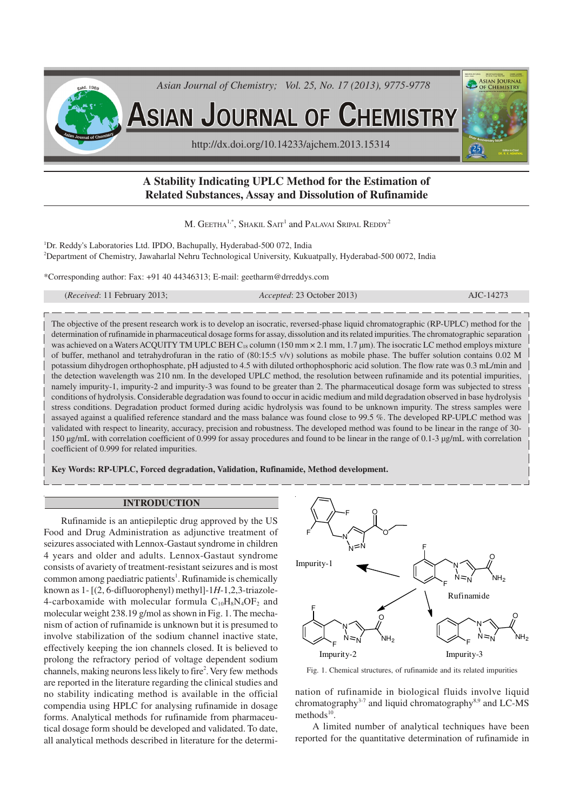

# **A Stability Indicating UPLC Method for the Estimation of Related Substances, Assay and Dissolution of Rufinamide**

M. GEETHA<sup>1,\*</sup>, SHAKIL SAIT<sup>1</sup> and PALAVAI SRIPAL REDDY<sup>2</sup>

<sup>1</sup>Dr. Reddy's Laboratories Ltd. IPDO, Bachupally, Hyderabad-500 072, India <sup>2</sup>Department of Chemistry, Jawaharlal Nehru Technological University, Kukuatpally, Hyderabad-500 0072, India

\*Corresponding author: Fax: +91 40 44346313; E-mail: geetharm@drreddys.com

| <i>(Received: 11 February 2013:</i> | <i>Accepted:</i> 23 October 2013) | AJC-14273 |
|-------------------------------------|-----------------------------------|-----------|
|-------------------------------------|-----------------------------------|-----------|

The objective of the present research work is to develop an isocratic, reversed-phase liquid chromatographic (RP-UPLC) method for the determination of rufinamide in pharmaceutical dosage forms for assay, dissolution and its related impurities. The chromatographic separation was achieved on a Waters ACQUITY TM UPLC BEH C<sub>18</sub> column (150 mm  $\times$  2.1 mm, 1.7 µm). The isocratic LC method employs mixture of buffer, methanol and tetrahydrofuran in the ratio of (80:15:5 v/v) solutions as mobile phase. The buffer solution contains 0.02 M potassium dihydrogen orthophosphate, pH adjusted to 4.5 with diluted orthophosphoric acid solution. The flow rate was 0.3 mL/min and the detection wavelength was 210 nm. In the developed UPLC method, the resolution between rufinamide and its potential impurities, namely impurity-1, impurity-2 and impurity-3 was found to be greater than 2. The pharmaceutical dosage form was subjected to stress conditions of hydrolysis. Considerable degradation was found to occur in acidic medium and mild degradation observed in base hydrolysis stress conditions. Degradation product formed during acidic hydrolysis was found to be unknown impurity. The stress samples were assayed against a qualified reference standard and the mass balance was found close to 99.5 %. The developed RP-UPLC method was validated with respect to linearity, accuracy, precision and robustness. The developed method was found to be linear in the range of 30- 150 µg/mL with correlation coefficient of 0.999 for assay procedures and found to be linear in the range of 0.1-3 µg/mL with correlation coefficient of 0.999 for related impurities.

**Key Words: RP-UPLC, Forced degradation, Validation, Rufinamide, Method development.**

### **INTRODUCTION**

Rufinamide is an antiepileptic drug approved by the US Food and Drug Administration as adjunctive treatment of seizures associated with Lennox-Gastaut syndrome in children 4 years and older and adults. Lennox-Gastaut syndrome consists of avariety of treatment-resistant seizures and is most common among paediatric patients<sup>1</sup>. Rufinamide is chemically known as 1- [(2, 6-difluorophenyl) methyl]-1*H*-1,2,3-triazole-4-carboxamide with molecular formula  $C_{10}H_8N_4OF_2$  and molecular weight 238.19 g/mol as shown in Fig. 1. The mechanism of action of rufinamide is unknown but it is presumed to involve stabilization of the sodium channel inactive state, effectively keeping the ion channels closed. It is believed to prolong the refractory period of voltage dependent sodium channels, making neurons less likely to fire 2 . Very few methods are reported in the literature regarding the clinical studies and no stability indicating method is available in the official compendia using HPLC for analysing rufinamide in dosage forms. Analytical methods for rufinamide from pharmaceutical dosage form should be developed and validated. To date, all analytical methods described in literature for the determi-



Fig. 1. Chemical structures, of rufinamide and its related impurities

nation of rufinamide in biological fluids involve liquid chromatography<sup>3-7</sup> and liquid chromatography<sup>8,9</sup> and LC-MS  $methods<sup>10</sup>$ .

A limited number of analytical techniques have been reported for the quantitative determination of rufinamide in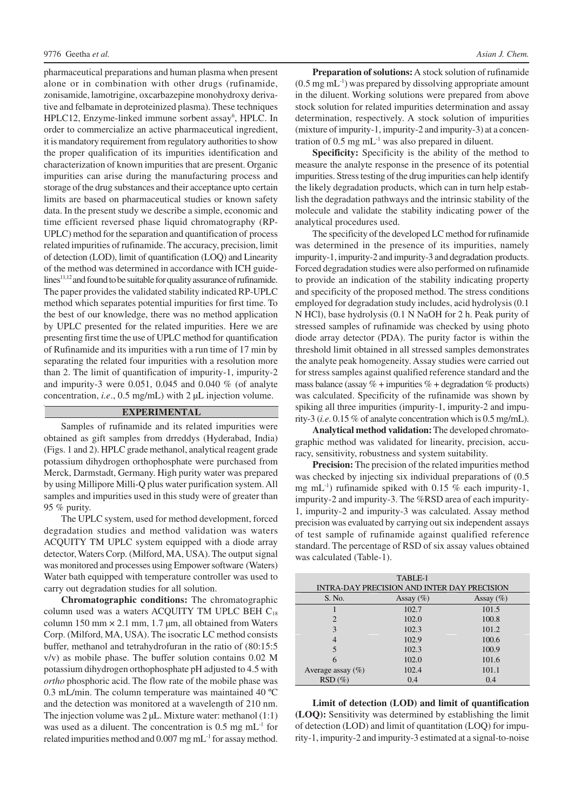pharmaceutical preparations and human plasma when present alone or in combination with other drugs (rufinamide, zonisamide, lamotrigine, oxcarbazepine monohydroxy derivative and felbamate in deproteinized plasma). These techniques HPLC12, Enzyme-linked immune sorbent assay 6 , HPLC. In order to commercialize an active pharmaceutical ingredient, it is mandatory requirement from regulatory authorities to show the proper qualification of its impurities identification and characterization of known impurities that are present. Organic impurities can arise during the manufacturing process and storage of the drug substances and their acceptance upto certain limits are based on pharmaceutical studies or known safety data. In the present study we describe a simple, economic and time efficient reversed phase liquid chromatography (RP-UPLC) method for the separation and quantification of process related impurities of rufinamide. The accuracy, precision, limit of detection (LOD), limit of quantification (LOQ) and Linearity of the method was determined in accordance with ICH guidelines<sup>11,12</sup> and found to be suitable for quality assurance of rufinamide. The paper provides the validated stability indicated RP-UPLC method which separates potential impurities for first time. To the best of our knowledge, there was no method application by UPLC presented for the related impurities. Here we are presenting first time the use of UPLC method for quantification of Rufinamide and its impurities with a run time of 17 min by separating the related four impurities with a resolution more than 2. The limit of quantification of impurity-1, impurity-2 and impurity-3 were 0.051, 0.045 and 0.040 % (of analyte concentration, *i.e.*, 0.5 mg/mL) with 2 µL injection volume.

## **EXPERIMENTAL**

Samples of rufinamide and its related impurities were obtained as gift samples from drreddys (Hyderabad, India) (Figs. 1 and 2). HPLC grade methanol, analytical reagent grade potassium dihydrogen orthophosphate were purchased from Merck, Darmstadt, Germany. High purity water was prepared by using Millipore Milli-Q plus water purification system. All samples and impurities used in this study were of greater than 95 % purity.

The UPLC system, used for method development, forced degradation studies and method validation was waters ACQUITY TM UPLC system equipped with a diode array detector, Waters Corp. (Milford, MA, USA). The output signal was monitored and processes using Empower software (Waters) Water bath equipped with temperature controller was used to carry out degradation studies for all solution.

**Chromatographic conditions:** The chromatographic column used was a waters ACQUITY TM UPLC BEH C<sub>18</sub> column 150 mm  $\times$  2.1 mm, 1.7 µm, all obtained from Waters Corp. (Milford, MA, USA). The isocratic LC method consists buffer, methanol and tetrahydrofuran in the ratio of (80:15:5 v/v) as mobile phase. The buffer solution contains 0.02 M potassium dihydrogen orthophosphate pH adjusted to 4.5 with *ortho* phosphoric acid. The flow rate of the mobile phase was 0.3 mL/min. The column temperature was maintained 40 ºC and the detection was monitored at a wavelength of 210 nm. The injection volume was  $2 \mu L$ . Mixture water: methanol (1:1) was used as a diluent. The concentration is  $0.5 \text{ mg } \text{mL}^{-1}$  for related impurities method and  $0.007$  mg mL $^{-1}$  for assay method.

**Preparation of solutions:**A stock solution of rufinamide  $(0.5 \text{ mg} \text{ mL}^{-1})$  was prepared by dissolving appropriate amount in the diluent. Working solutions were prepared from above stock solution for related impurities determination and assay determination, respectively. A stock solution of impurities (mixture of impurity-1, impurity-2 and impurity-3) at a concentration of  $0.5$  mg mL $^{-1}$  was also prepared in diluent.

**Specificity:** Specificity is the ability of the method to measure the analyte response in the presence of its potential impurities. Stress testing of the drug impurities can help identify the likely degradation products, which can in turn help establish the degradation pathways and the intrinsic stability of the molecule and validate the stability indicating power of the analytical procedures used.

The specificity of the developed LC method for rufinamide was determined in the presence of its impurities, namely impurity-1, impurity-2 and impurity-3 and degradation products. Forced degradation studies were also performed on rufinamide to provide an indication of the stability indicating property and specificity of the proposed method. The stress conditions employed for degradation study includes, acid hydrolysis (0.1 N HCl), base hydrolysis (0.1 N NaOH for 2 h. Peak purity of stressed samples of rufinamide was checked by using photo diode array detector (PDA). The purity factor is within the threshold limit obtained in all stressed samples demonstrates the analyte peak homogeneity. Assay studies were carried out for stress samples against qualified reference standard and the mass balance (assay  $% +$  impurities  $% +$  degradation  $%$  products) was calculated. Specificity of the rufinamide was shown by spiking all three impurities (impurity-1, impurity-2 and impurity-3 (*i.e*. 0.15 % of analyte concentration which is 0.5 mg/mL).

**Analytical method validation:**The developed chromatographic method was validated for linearity, precision, accuracy, sensitivity, robustness and system suitability.

**Precision:** The precision of the related impurities method was checked by injecting six individual preparations of (0.5 mg mL<sup>-1</sup>) rufinamide spiked with 0.15 % each impurity-1, impurity-2 and impurity-3. The %RSD area of each impurity-1, impurity-2 and impurity-3 was calculated. Assay method precision was evaluated by carrying out six independent assays of test sample of rufinamide against qualified reference standard. The percentage of RSD of six assay values obtained was calculated (Table-1).

|                                             | TABLE-1       |               |  |  |
|---------------------------------------------|---------------|---------------|--|--|
| INTRA-DAY PRECISION AND INTER DAY PRECISION |               |               |  |  |
| S. No.                                      | Assay $(\% )$ | Assay $(\% )$ |  |  |
|                                             | 102.7         | 101.5         |  |  |
| $\overline{c}$                              | 102.0         | 100.8         |  |  |
| 3                                           | 102.3         | 101.2         |  |  |
|                                             | 102.9         | 100.6         |  |  |
| 5                                           | 102.3         | 100.9         |  |  |
| 6                                           | 102.0         | 101.6         |  |  |
| Average assay $(\% )$                       | 102.4         | 101.1         |  |  |
| $RSD(\%)$                                   | 0.4           | 0.4           |  |  |

**Limit of detection (LOD) and limit of quantification (LOQ):** Sensitivity was determined by establishing the limit of detection (LOD) and limit of quantitation (LOQ) for impurity-1, impurity-2 and impurity-3 estimated at a signal-to-noise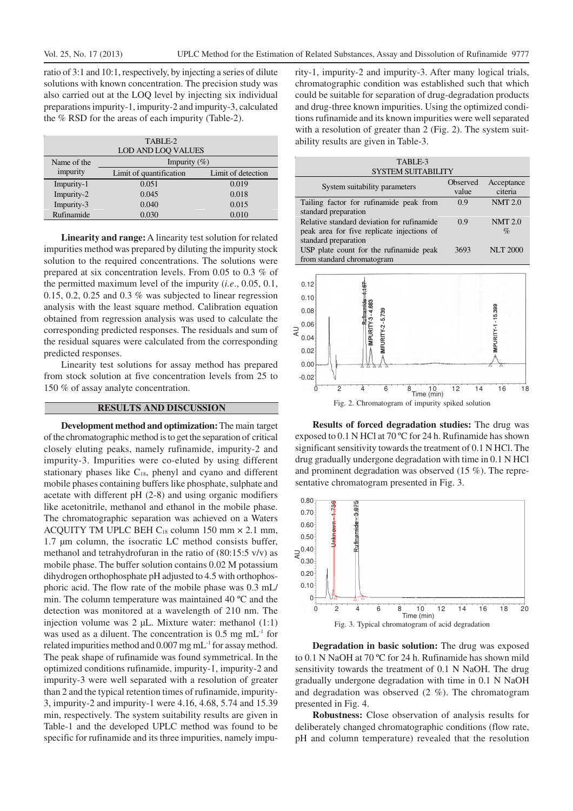ratio of 3:1 and 10:1, respectively, by injecting a series of dilute solutions with known concentration. The precision study was also carried out at the LOQ level by injecting six individual preparations impurity-1, impurity-2 and impurity-3, calculated the % RSD for the areas of each impurity (Table-2).

| TABLE-2                         |                         |                    |  |  |
|---------------------------------|-------------------------|--------------------|--|--|
| <b>LOD AND LOQ VALUES</b>       |                         |                    |  |  |
| Impurity $(\% )$<br>Name of the |                         |                    |  |  |
| impurity                        | Limit of quantification | Limit of detection |  |  |
| Impurity-1                      | 0.051                   | 0.019              |  |  |
| Impurity-2                      | 0.045                   | 0.018              |  |  |
| Impurity-3                      | 0.040                   | 0.015              |  |  |
| Rufinamide                      | 0.030                   | 0.010              |  |  |

**Linearity and range:**A linearity test solution for related impurities method was prepared by diluting the impurity stock solution to the required concentrations. The solutions were prepared at six concentration levels. From 0.05 to 0.3 % of the permitted maximum level of the impurity (*i.e*., 0.05, 0.1, 0.15, 0.2, 0.25 and 0.3  $%$  was subjected to linear regression analysis with the least square method. Calibration equation obtained from regression analysis was used to calculate the corresponding predicted responses. The residuals and sum of the residual squares were calculated from the corresponding predicted responses.

Linearity test solutions for assay method has prepared from stock solution at five concentration levels from 25 to 150 % of assay analyte concentration.

#### **RESULTS AND DISCUSSION**

**Development method and optimization:** The main target of the chromatographic method is to get the separation of critical closely eluting peaks, namely rufinamide, impurity-2 and impurity-3. Impurities were co-eluted by using different stationary phases like  $C_{18}$ , phenyl and cyano and different mobile phases containing buffers like phosphate, sulphate and acetate with different pH (2-8) and using organic modifiers like acetonitrile, methanol and ethanol in the mobile phase. The chromatographic separation was achieved on a Waters ACQUITY TM UPLC BEH  $C_{18}$  column 150 mm  $\times$  2.1 mm, 1.7 µm column, the isocratic LC method consists buffer, methanol and tetrahydrofuran in the ratio of (80:15:5 v/v) as mobile phase. The buffer solution contains 0.02 M potassium dihydrogen orthophosphate pH adjusted to 4.5 with orthophosphoric acid. The flow rate of the mobile phase was 0.3 mL/ min. The column temperature was maintained 40 ºC and the detection was monitored at a wavelength of 210 nm. The injection volume was  $2 \mu L$ . Mixture water: methanol  $(1:1)$ was used as a diluent. The concentration is 0.5 mg mL<sup>-1</sup> for related impurities method and  $0.007$  mg mL $^{-1}$  for assay method. The peak shape of rufinamide was found symmetrical. In the optimized conditions rufinamide, impurity-1, impurity-2 and impurity-3 were well separated with a resolution of greater than 2 and the typical retention times of rufinamide, impurity-3, impurity-2 and impurity-1 were 4.16, 4.68, 5.74 and 15.39 min, respectively. The system suitability results are given in Table-1 and the developed UPLC method was found to be specific for rufinamide and its three impurities, namely impurity-1, impurity-2 and impurity-3. After many logical trials, chromatographic condition was established such that which could be suitable for separation of drug-degradation products and drug-three known impurities. Using the optimized conditions rufinamide and its known impurities were well separated with a resolution of greater than 2 (Fig. 2). The system suitability results are given in Table-3.

| TABLE-3<br><b>SYSTEM SUITABILITY</b>                                                          |                   |                       |  |  |
|-----------------------------------------------------------------------------------------------|-------------------|-----------------------|--|--|
| System suitability parameters                                                                 | Observed<br>value | Acceptance<br>citeria |  |  |
| Tailing factor for rufinamide peak from<br>standard preparation                               | 0.9               | <b>NMT 2.0</b>        |  |  |
| Relative standard deviation for rufinamide<br>peak area for five replicate injections of      | 0.9               | NMT 2.0<br>$\%$       |  |  |
| standard preparation<br>USP plate count for the rufinamide peak<br>from standard chromatogram | 3693              | <b>NLT 2000</b>       |  |  |



**Results of forced degradation studies:** The drug was exposed to 0.1 N HCl at 70 ºC for 24 h. Rufinamide has shown significant sensitivity towards the treatment of 0.1 N HCl. The drug gradually undergone degradation with time in 0.1 N HCl and prominent degradation was observed (15 %). The representative chromatogram presented in Fig. 3.



**Degradation in basic solution:** The drug was exposed to 0.1 N NaOH at 70 ºC for 24 h. Rufinamide has shown mild sensitivity towards the treatment of 0.1 N NaOH. The drug gradually undergone degradation with time in 0.1 N NaOH and degradation was observed (2 %). The chromatogram presented in Fig. 4.

**Robustness:** Close observation of analysis results for deliberately changed chromatographic conditions (flow rate, pH and column temperature) revealed that the resolution